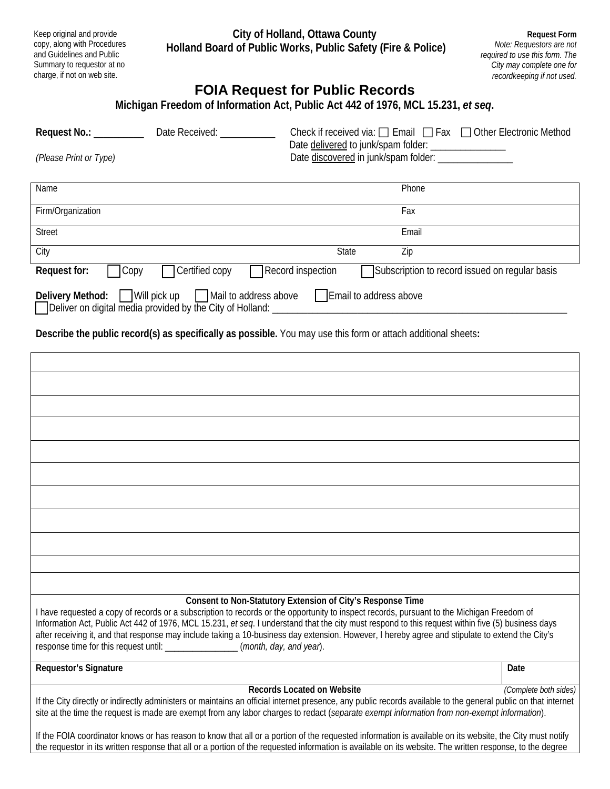**City of Holland, Ottawa County Holland Board of Public Works, Public Safety (Fire & Police)**

Keep original and provide copy, along with Procedures and Guidelines and Public Summary to requestor at no charge, if not on web site.

**Request Form** *Note: Requestors are not required to use this form. The City may complete one for recordkeeping if not used.*

## **FOIA Request for Public Records**

| Michigan Freedom of Information Act, Public Act 442 of 1976, MCL 15.231, et seq. |                        |                                                                                                                                         |  |  |
|----------------------------------------------------------------------------------|------------------------|-----------------------------------------------------------------------------------------------------------------------------------------|--|--|
| Request No.: __________                                                          | Date Received: Network | Check if received via: $\Box$ Email $\Box$ Fax $\Box$ Other Electronic Method<br>Date delivered to junk/spam folder: __________________ |  |  |
| (Please Print or Type)                                                           |                        | Date discovered in junk/spam folder: ________________                                                                                   |  |  |
| Name                                                                             |                        | Phone                                                                                                                                   |  |  |
| Firm/Organization                                                                |                        | Fax                                                                                                                                     |  |  |
| <b>Street</b>                                                                    |                        | Email                                                                                                                                   |  |  |
| City                                                                             |                        | <b>State</b><br>Zip                                                                                                                     |  |  |
| Request for:<br>$\mathsf{Copy}$                                                  | Certified copy         | Record inspection<br>Subscription to record issued on regular basis                                                                     |  |  |
| Delivery Method:                                                                 | Will pick up           | Mail to address above<br>Email to address above                                                                                         |  |  |

 $\Box$  Deliver on digital media provided by the City of Holland:

**Describe the public record(s) as specifically as possible.** You may use this form or attach additional sheets**:** 

| Consent to Non-Statutory Extension of City's Response Time<br>I have requested a copy of records or a subscription to records or the opportunity to inspect records, pursuant to the Michigan Freedom of<br>Information Act, Public Act 442 of 1976, MCL 15.231, et seq. I understand that the city must respond to this request within five (5) business days<br>after receiving it, and that response may include taking a 10-business day extension. However, I hereby agree and stipulate to extend the City's<br>response time for this request until: _________________(month, day, and year). |                       |  |  |
|------------------------------------------------------------------------------------------------------------------------------------------------------------------------------------------------------------------------------------------------------------------------------------------------------------------------------------------------------------------------------------------------------------------------------------------------------------------------------------------------------------------------------------------------------------------------------------------------------|-----------------------|--|--|
| Requestor's Signature                                                                                                                                                                                                                                                                                                                                                                                                                                                                                                                                                                                | Date                  |  |  |
| <b>Records Located on Website</b><br>If the City directly or indirectly administers or maintains an official internet presence, any public records available to the general public on that internet<br>site at the time the request is made are exempt from any labor charges to redact (separate exempt information from non-exempt information).                                                                                                                                                                                                                                                   | (Complete both sides) |  |  |
| If the FOIA coordinator knows or has reason to know that all or a portion of the requested information is available on its website, the City must notify<br>the requestor in its written response that all or a portion of the requested information is available on its website. The written response, to the degree                                                                                                                                                                                                                                                                                |                       |  |  |